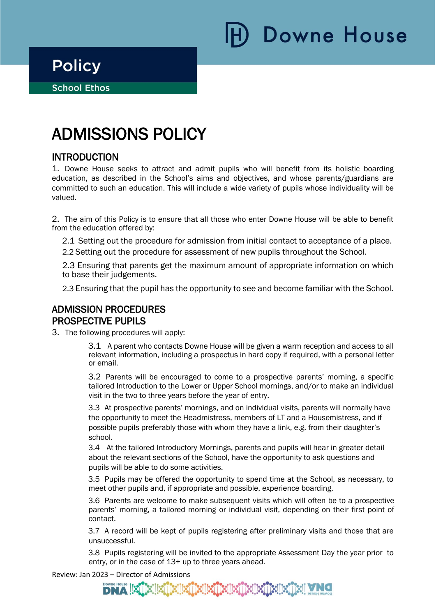**Downe House** 

**School Ethos** 

# ADMISSIONS POLICY

## INTRODUCTION

1. Downe House seeks to attract and admit pupils who will benefit from its holistic boarding education, as described in the School's aims and objectives, and whose parents/guardians are committed to such an education. This will include a wide variety of pupils whose individuality will be valued.

2. The aim of this Policy is to ensure that all those who enter Downe House will be able to benefit from the education offered by:

2.1 Setting out the procedure for admission from initial contact to acceptance of a place. 2.2 Setting out the procedure for assessment of new pupils throughout the School.

2.3 Ensuring that parents get the maximum amount of appropriate information on which to base their judgements.

2.3 Ensuring that the pupil has the opportunity to see and become familiar with the School.

## ADMISSION PROCEDURES PROSPECTIVE PUPILS

3. The following procedures will apply:

3.1 A parent who contacts Downe House will be given a warm reception and access to all relevant information, including a prospectus in hard copy if required, with a personal letter or email.

3.2 Parents will be encouraged to come to a prospective parents' morning, a specific tailored Introduction to the Lower or Upper School mornings, and/or to make an individual visit in the two to three years before the year of entry.

3.3 At prospective parents' mornings, and on individual visits, parents will normally have the opportunity to meet the Headmistress, members of LT and a Housemistress, and if possible pupils preferably those with whom they have a link, e.g. from their daughter's school.

3.4 At the tailored Introductory Mornings, parents and pupils will hear in greater detail about the relevant sections of the School, have the opportunity to ask questions and pupils will be able to do some activities.

3.5 Pupils may be offered the opportunity to spend time at the School, as necessary, to meet other pupils and, if appropriate and possible, experience boarding.

3.6 Parents are welcome to make subsequent visits which will often be to a prospective parents' morning, a tailored morning or individual visit, depending on their first point of contact.

3.7 A record will be kept of pupils registering after preliminary visits and those that are unsuccessful.

3.8 Pupils registering will be invited to the appropriate Assessment Day the year prior to entry, or in the case of 13+ up to three years ahead.

Review: Jan 2023 – Director of Admissions

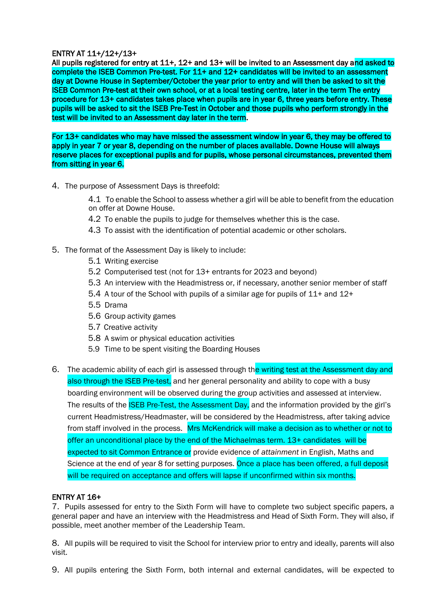#### ENTRY AT 11+/12+/13+

All pupils registered for entry at 11+, 12+ and 13+ will be invited to an Assessment day and asked to complete the ISEB Common Pre-test. For 11+ and 12+ candidates will be invited to an assessment day at Downe House in September/October the year prior to entry and will then be asked to sit the ISEB Common Pre-test at their own school, or at a local testing centre, later in the term The entry procedure for 13+ candidates takes place when pupils are in year 6, three years before entry. These pupils will be asked to sit the ISEB Pre-Test in October and those pupils who perform strongly in the test will be invited to an Assessment day later in the term.

For 13+ candidates who may have missed the assessment window in year 6, they may be offered to apply in year 7 or year 8, depending on the number of places available. Downe House will always reserve places for exceptional pupils and for pupils, whose personal circumstances, prevented them from sitting in year 6.

- 4. The purpose of Assessment Days is threefold:
	- 4.1 To enable the School to assess whether a girl will be able to benefit from the education on offer at Downe House.
	- 4.2 To enable the pupils to judge for themselves whether this is the case.
	- 4.3 To assist with the identification of potential academic or other scholars.
- 5. The format of the Assessment Day is likely to include:
	- 5.1 Writing exercise
	- 5.2 Computerised test (not for 13+ entrants for 2023 and beyond)
	- 5.3 An interview with the Headmistress or, if necessary, another senior member of staff
	- 5.4 A tour of the School with pupils of a similar age for pupils of 11+ and 12+
	- 5.5 Drama
	- 5.6 Group activity games
	- 5.7 Creative activity
	- 5.8 A swim or physical education activities
	- 5.9 Time to be spent visiting the Boarding Houses
- 6. The academic ability of each girl is assessed through the writing test at the Assessment day and also through the ISEB Pre-test, and her general personality and ability to cope with a busy boarding environment will be observed during the group activities and assessed at interview. The results of the ISEB Pre-Test, the Assessment Day, and the information provided by the girl's current Headmistress/Headmaster, will be considered by the Headmistress, after taking advice from staff involved in the process. Mrs McKendrick will make a decision as to whether or not to offer an unconditional place by the end of the Michaelmas term. 13+ candidates will be expected to sit Common Entrance or provide evidence of *attainment* in English, Maths and Science at the end of year 8 for setting purposes. Once a place has been offered, a full deposit will be required on acceptance and offers will lapse if unconfirmed within six months.

#### ENTRY AT 16+

7. Pupils assessed for entry to the Sixth Form will have to complete two subject specific papers, a general paper and have an interview with the Headmistress and Head of Sixth Form. They will also, if possible, meet another member of the Leadership Team.

8. All pupils will be required to visit the School for interview prior to entry and ideally, parents will also visit.

9. All pupils entering the Sixth Form, both internal and external candidates, will be expected to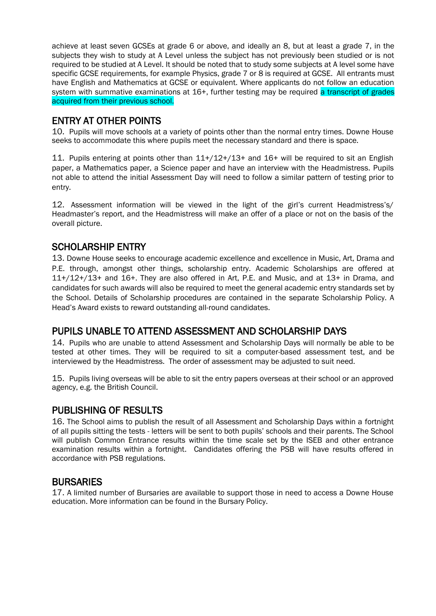achieve at least seven GCSEs at grade 6 or above, and ideally an 8, but at least a grade 7, in the subjects they wish to study at A Level unless the subject has not previously been studied or is not required to be studied at A Level. It should be noted that to study some subjects at A level some have specific GCSE requirements, for example Physics, grade 7 or 8 is required at GCSE. All entrants must have English and Mathematics at GCSE or equivalent. Where applicants do not follow an education system with summative examinations at 16+, further testing may be required a transcript of grades acquired from their previous school.

## ENTRY AT OTHER POINTS

10. Pupils will move schools at a variety of points other than the normal entry times. Downe House seeks to accommodate this where pupils meet the necessary standard and there is space.

11. Pupils entering at points other than 11+/12+/13+ and 16+ will be required to sit an English paper, a Mathematics paper, a Science paper and have an interview with the Headmistress. Pupils not able to attend the initial Assessment Day will need to follow a similar pattern of testing prior to entry.

12. Assessment information will be viewed in the light of the girl's current Headmistress's/ Headmaster's report, and the Headmistress will make an offer of a place or not on the basis of the overall picture.

## SCHOLARSHIP ENTRY

13. Downe House seeks to encourage academic excellence and excellence in Music, Art, Drama and P.E. through, amongst other things, scholarship entry. Academic Scholarships are offered at 11+/12+/13+ and 16+. They are also offered in Art, P.E. and Music, and at 13+ in Drama, and candidates for such awards will also be required to meet the general academic entry standards set by the School. Details of Scholarship procedures are contained in the separate Scholarship Policy. A Head's Award exists to reward outstanding all-round candidates.

## PUPILS UNABLE TO ATTEND ASSESSMENT AND SCHOLARSHIP DAYS

14. Pupils who are unable to attend Assessment and Scholarship Days will normally be able to be tested at other times. They will be required to sit a computer-based assessment test, and be interviewed by the Headmistress. The order of assessment may be adjusted to suit need.

15. Pupils living overseas will be able to sit the entry papers overseas at their school or an approved agency, e.g. the British Council.

## PUBLISHING OF RESULTS

16. The School aims to publish the result of all Assessment and Scholarship Days within a fortnight of all pupils sitting the tests - letters will be sent to both pupils' schools and their parents. The School will publish Common Entrance results within the time scale set by the ISEB and other entrance examination results within a fortnight. Candidates offering the PSB will have results offered in accordance with PSB regulations.

## **BURSARIES**

17. A limited number of Bursaries are available to support those in need to access a Downe House education. More information can be found in the Bursary Policy.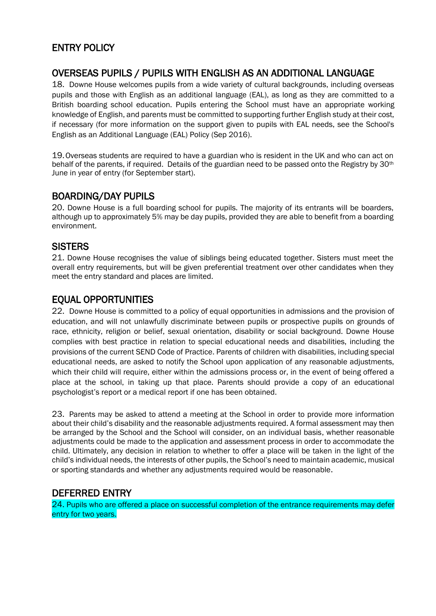# ENTRY POLICY

## OVERSEAS PUPILS / PUPILS WITH ENGLISH AS AN ADDITIONAL LANGUAGE

18. Downe House welcomes pupils from a wide variety of cultural backgrounds, including overseas pupils and those with English as an additional language (EAL), as long as they are committed to a British boarding school education. Pupils entering the School must have an appropriate working knowledge of English, and parents must be committed to supporting further English study at their cost, if necessary (for more information on the support given to pupils with EAL needs, see the School's English as an Additional Language (EAL) Policy (Sep 2016).

19.Overseas students are required to have a guardian who is resident in the UK and who can act on behalf of the parents, if required. Details of the guardian need to be passed onto the Registry by 30th June in year of entry (for September start).

## BOARDING/DAY PUPILS

20. Downe House is a full boarding school for pupils. The majority of its entrants will be boarders, although up to approximately 5% may be day pupils, provided they are able to benefit from a boarding environment.

## **SISTERS**

21. Downe House recognises the value of siblings being educated together. Sisters must meet the overall entry requirements, but will be given preferential treatment over other candidates when they meet the entry standard and places are limited.

## EQUAL OPPORTUNITIES

22. Downe House is committed to a policy of equal opportunities in admissions and the provision of education, and will not unlawfully discriminate between pupils or prospective pupils on grounds of race, ethnicity, religion or belief, sexual orientation, disability or social background. Downe House complies with best practice in relation to special educational needs and disabilities, including the provisions of the current SEND Code of Practice. Parents of children with disabilities, including special educational needs, are asked to notify the School upon application of any reasonable adjustments, which their child will require, either within the admissions process or, in the event of being offered a place at the school, in taking up that place. Parents should provide a copy of an educational psychologist's report or a medical report if one has been obtained.

23. Parents may be asked to attend a meeting at the School in order to provide more information about their child's disability and the reasonable adjustments required. A formal assessment may then be arranged by the School and the School will consider, on an individual basis, whether reasonable adjustments could be made to the application and assessment process in order to accommodate the child. Ultimately, any decision in relation to whether to offer a place will be taken in the light of the child's individual needs, the interests of other pupils, the School's need to maintain academic, musical or sporting standards and whether any adjustments required would be reasonable.

## DEFERRED ENTRY

24. Pupils who are offered a place on successful completion of the entrance requirements may defer entry for two years.